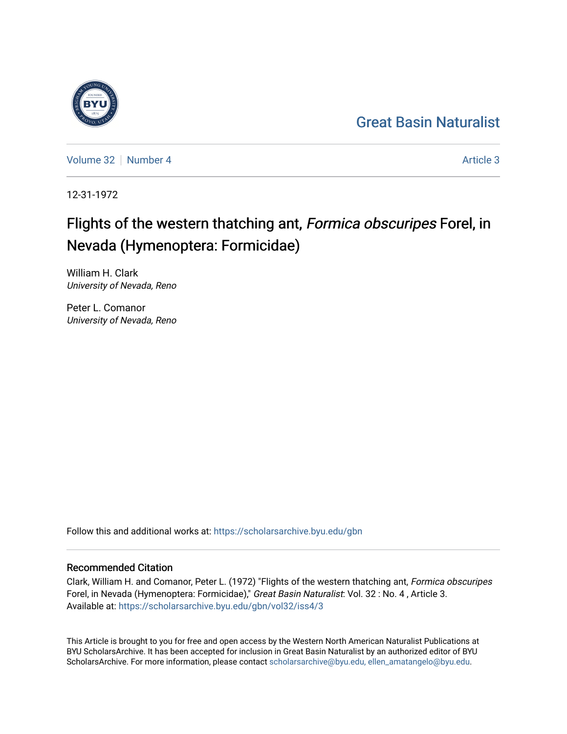## [Great Basin Naturalist](https://scholarsarchive.byu.edu/gbn)

[Volume 32](https://scholarsarchive.byu.edu/gbn/vol32) [Number 4](https://scholarsarchive.byu.edu/gbn/vol32/iss4) [Article 3](https://scholarsarchive.byu.edu/gbn/vol32/iss4/3) Article 3

12-31-1972

# Flights of the western thatching ant, Formica obscuripes Forel, in Nevada (Hymenoptera: Formicidae)

William H. Clark University of Nevada, Reno

Peter L. Comanor University of Nevada, Reno

Follow this and additional works at: [https://scholarsarchive.byu.edu/gbn](https://scholarsarchive.byu.edu/gbn?utm_source=scholarsarchive.byu.edu%2Fgbn%2Fvol32%2Fiss4%2F3&utm_medium=PDF&utm_campaign=PDFCoverPages) 

### Recommended Citation

Clark, William H. and Comanor, Peter L. (1972) "Flights of the western thatching ant, Formica obscuripes Forel, in Nevada (Hymenoptera: Formicidae)," Great Basin Naturalist: Vol. 32 : No. 4, Article 3. Available at: [https://scholarsarchive.byu.edu/gbn/vol32/iss4/3](https://scholarsarchive.byu.edu/gbn/vol32/iss4/3?utm_source=scholarsarchive.byu.edu%2Fgbn%2Fvol32%2Fiss4%2F3&utm_medium=PDF&utm_campaign=PDFCoverPages)

This Article is brought to you for free and open access by the Western North American Naturalist Publications at BYU ScholarsArchive. It has been accepted for inclusion in Great Basin Naturalist by an authorized editor of BYU ScholarsArchive. For more information, please contact [scholarsarchive@byu.edu, ellen\\_amatangelo@byu.edu.](mailto:scholarsarchive@byu.edu,%20ellen_amatangelo@byu.edu)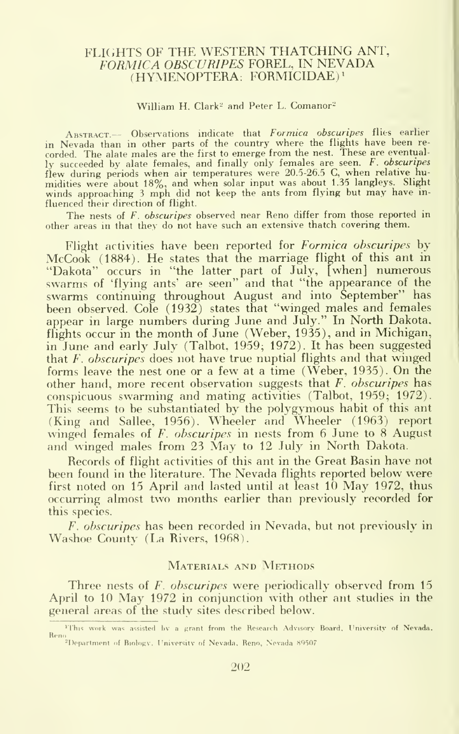#### FLIGHTS OF THE WESTERN THATCHING ANT, FORMICA OBSCURIPES FOREL, IN NEVADA (HYMENOPTERA: FORMICIDAE)<sup>1</sup>

#### William H. Clark<sup>2</sup> and Peter L. Comanor<sup>2</sup>

ABSTRACT.-- Observations indicate that Formica obscuripes flies earlier in Nevada than in other parts of the country where the flights have been re- corded. The alate males are the first to emerge from the nest. These are eventually succeeded by alate females, and finally only females are seen. *F. obscuripes* flew during periods when air temperatures were 20.5-26.5 C, when relative humidities were about 18%, and when solar input was about 1.35 langleys. Slight winds approaching <sup>3</sup> mph did not keep the ants from flying but may have in fluenced their direction of flight.

The nests of F. obscuripes observed near Reno differ from those reported in other areas in that they do not have such an extensive thatch covering them.

Flight activities have been reported for Formica obscuripes by McCook (1884). He states that the marriage flight of this ant in "Dakota" occurs in "the latter part of July, [when] numerous swarms of 'flying ants' are seen" and that "the appearance of the swarms continuing throughout August and into September" has been observed. Cole (1932) states that "winged males and females appear in large numbers during June and July." In North Dakota, flights occur in the month of June (Weber, 1935), and in Michigan, in June and early July (Talbot, 1959; 1972). It has been suggested that F. obscuripes does not have true nuptial flights and that winged forms leave the nest one or <sup>a</sup> few at <sup>a</sup> time (Weber, 1935). On the other hand, more recent observation suggests that  $F$ , obscuripes has conspicuous swarming and mating activities (Talbot, 1959; 1972). This seems to be substantiated by the polygymous habit of this ant (King and Sallee, 1956). Wheeler and Wheeler (1963) report winged females of F. obscuripes in nests from 6 June to 8 August and winged males from 23 May to <sup>12</sup> July in North Dakota.

Records of flight activities of this ant in the Great Basin have not been found in the literature. The Nevada flights reported below were first noted on <sup>15</sup> April and lasted until at least <sup>10</sup> May 1972, thus occurring almost two months earlier than previously recorded for this species.

F. obscuripes has been recorded in Nevada, but not previously in Washoe County (La Rivers, 1968).

#### MATERIALS AND METHODS

Three nests of F. obscuripes were periodically observed from 15 April to <sup>10</sup> May 1972 in conjunction with other ant studies in the general areas of the study sites described below.

<sup>&</sup>lt;sup>1</sup>This work was assisted by a grant from the Research Advisory Board, University of Nevada. Reno<br><sup>-2</sup>Department of Biology. University of Nevada, Reno, Nevada 89507.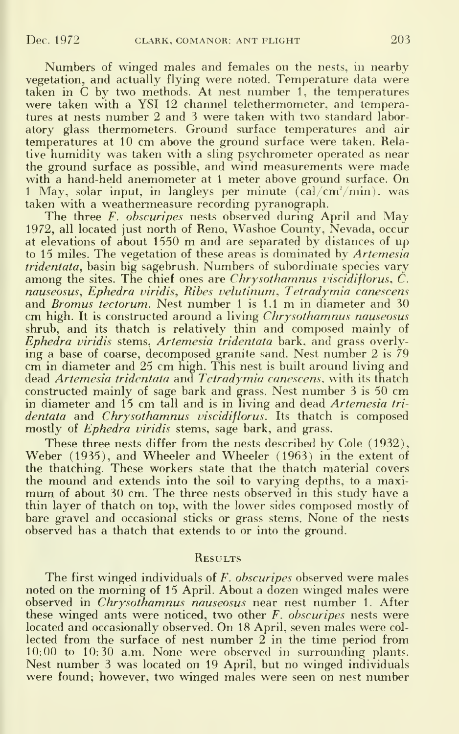Numbers of winged males and females on the nests, in nearby vegetation, and actually flying were noted. Temperature data were taken in C by two methods. At nest number 1, the temperatures were taken with a YSI 12 channel telethermometer, and temperatures at nests number 2 and 3 were taken with two standard labor atory glass thermometers. Ground surface temperatures and air temperatures at 10 cm above the ground surface were taken. Relative humidity was taken with a sling psychrometer operated as near the ground surface as possible, and wind measurements were made with a hand-held anemometer at 1 meter above ground surface. On 1 May, solar input, in langleys per minute  $(\text{cal/cm}^2/\text{min})$ , was taken with a weathermeasure recording pyranograph.

The three F. obscuripes nests observed during April and May 1972, all located just north of Reno, Washoe County, Nevada, occur at elevations of about <sup>1550</sup> m and are separated by distances of up to 15 miles. The vegetation of these areas is dominated by Artemesia tridentata, basin big sagebrush. Numbers of subordinate species vary among the sites. The chief ones are Chrysothamnus viscidiflorus,  $\check{C}$ . nauseosus. Ephedra viridis. Ribes velutinum, Tetradymia canescens and *Bromus' tectorum*. Nest number 1 is  $1.1 \text{ m}$  in diameter and 30 cm high. It is constructed around a living *Chrysothamnus nauseosus* shrub, and its thatch is relatively thin and composed mainly of Ephedra viridis stems, Artemesia tridentata bark, and grass overlying <sup>a</sup> base of coarse, decomposed granite sand. Nest number <sup>2</sup> is<sup>79</sup> cm in diameter and <sup>25</sup> cm high. This nest is built around living and dead Artemesia tridentata and Tetradymia canescens. with its thatch constructed mainly of sage bark and grass. Nest number <sup>3</sup> is 50 cm in diameter and 15 cm tall and is in living and dead Artemesia tridentata and Chrysothamnus viscidiflorus. Its thatch is composed mostly of *Ephedra viridis* stems, sage bark, and grass.

These three nests differ from the nests described by Cole (1932), Weber (1935), and Wheeler and Wheeler (1963) in the extent of the thatching. These workers state that the thatch material covers the mound and extends into the soil to varying depths, to a maximum of about 30 cm. The three nests observed in this study have a thin layer of thatch on top, with the lower sides composed mostly of bare gravel and occasional sticks or grass stems. None of the nests observed has a thatch that extends to or into the ground.

#### **RESULTS**

The first winged individuals of F. obscuripes observed were males noted on the morning of 15 April. About a dozen winged males were observed in Chrysothamnus nauseosus near nest number 1. After these winged ants were noticed, two other  $F$ , obscuripes nests were located and occasionally observed. On 18 April, seven males were col lected from the surface of nest number 2 in the time period from 10:00 to 10:30 a.m. None were observed in surrounding plants. Nest number 3 was located on 19 April, but no winged individuals were found; however, two winged males were seen on nest number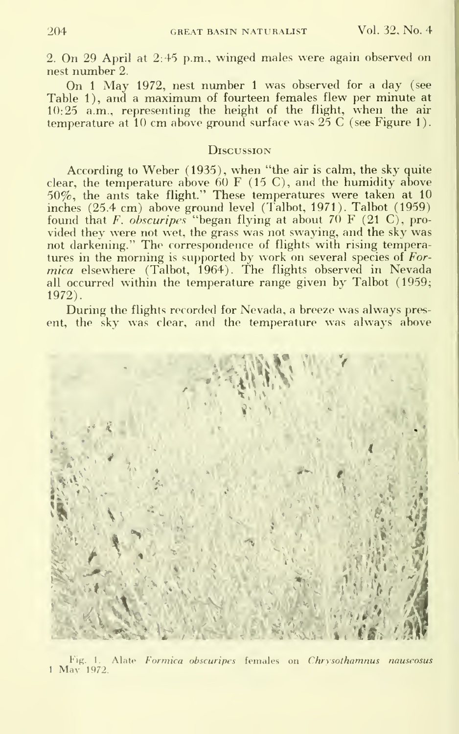2. On 29 April at 2:45 p.m., winged males were again observed on nest number 2.

On <sup>1</sup> May 1972, nest number <sup>1</sup> was observed for <sup>a</sup> day (see Table 1), and a maximum of fourteen females flew per minute at 10:25 a.m., representing the height of the flight, when the air temperature at 10 cm above ground surface was  $25 \text{ C}$  (see Figure 1).

#### **Discussion**

According to Weber (1935), when "the air is calm, the sky quite clear, the temperature above  $60 \text{ F}$  (15 C), and the humidity above 50%, the ants take flight." These temperatures were taken at 10 inches (25.4 cm) above ground level (Talbot, 1971). Talbot (1959) found that F. obscuripes "began flying at about  $70$  F (21 C), provided they were not wet, the grass was not swaying, and the sky was not darkening." The correspondence of flights with rising temperatures in the morning is supported by work on several species of Formica elsewhere (Talbot, 1964). The flights observed in Nevada all occurred within the temperature range given by Talbot (1959; 1972).

During the flights recorded for Nevada, abreeze was always present, the sky was clear, and the temperature was always above



Fig. 1. Alate Formica obscuripes females on Chrysothamnus nauseosus <sup>1</sup> May 1972.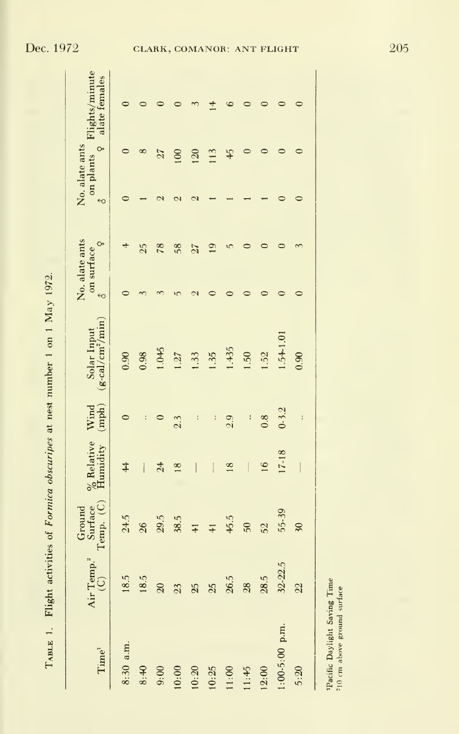| $\frac{1}{2}$<br>֘֒ |
|---------------------|
| l<br>l              |
| $\frac{1}{2}$       |
|                     |
|                     |
|                     |
|                     |
|                     |
|                     |
| i                   |
| i<br>l              |
|                     |

| Time <sup>1</sup>                                         | Air Temp. <sup>2</sup><br>$\odot$ | Surface<br>Temp. (C)<br>Ground | $\frac{\%}{\%}$ Relative<br>Humidity | Wind<br>$(\mathrm{mph})$ | $(g-cal/cm2/min)$<br>Solar Input | No. alate ants<br>on surface<br>$\epsilon$ o | $\circ$        | No. alate ants<br>$\leftrightarrow$ | $\circ$  | on plants Flights/minute<br>alate females |
|-----------------------------------------------------------|-----------------------------------|--------------------------------|--------------------------------------|--------------------------|----------------------------------|----------------------------------------------|----------------|-------------------------------------|----------|-------------------------------------------|
| 8:30 a.m.                                                 | 18.5                              | 24.5                           | $\overline{4}$                       | $\circ$                  | 0.90                             |                                              | 4              | 0                                   | $\circ$  |                                           |
| 8:40                                                      | 18.5                              | $26\degree$                    | $\overline{\mathbb{I}}$              | ł                        | 0.98                             |                                              | 25             |                                     | $\infty$ |                                           |
| 9:00                                                      | $\overline{20}$                   | 29.5                           | 24                                   |                          | 1.045                            |                                              | 78             |                                     | 27       |                                           |
| 0:00                                                      | 23                                | 38.5                           | $\frac{8}{18}$                       | 2.3                      | 1.27                             | ١r                                           | 58             |                                     | 100      |                                           |
| 0:20                                                      | 25                                | $\frac{1}{4}$                  | $\overline{\phantom{a}}$             | ł                        | 1.33                             |                                              | 27             |                                     | 120      |                                           |
| 0:25                                                      | 25                                | $\frac{1}{4}$                  |                                      | ţ                        | 1.35                             |                                              | $\overline{9}$ |                                     | 113      | 4                                         |
| 1:00                                                      | 26.5                              | 45.5                           | $\frac{8}{2}$                        | 2.9                      | 1.435                            |                                              | ١C             |                                     | 45       |                                           |
| 1:45                                                      | $\frac{28}{2}$                    | 50                             | $\overline{\phantom{a}}$             | I                        | 1.50                             |                                              |                |                                     |          |                                           |
| 2:00                                                      | 28.5                              | 52                             | 16                                   | 0.8                      | 1.52                             |                                              |                |                                     |          |                                           |
| $:00-5:00$ p.m.                                           | 32-22.5                           | 55-39                          | 17-18                                | $0 - 3.2$                | $1.54 - 1.01$                    |                                              |                |                                     |          |                                           |
| 5:20                                                      | $\frac{2}{2}$                     | $\overline{30}$                |                                      | $\ddot{\cdot}$           | 0.90                             |                                              |                |                                     |          |                                           |
| Pacific Daylight Saving Time<br>0 cm above ground surface |                                   |                                |                                      |                          |                                  |                                              |                |                                     |          |                                           |
|                                                           |                                   |                                |                                      |                          |                                  |                                              |                |                                     |          |                                           |

**Tacific Daylight Saving Time**<br><sup>210</sup> cm above ground surface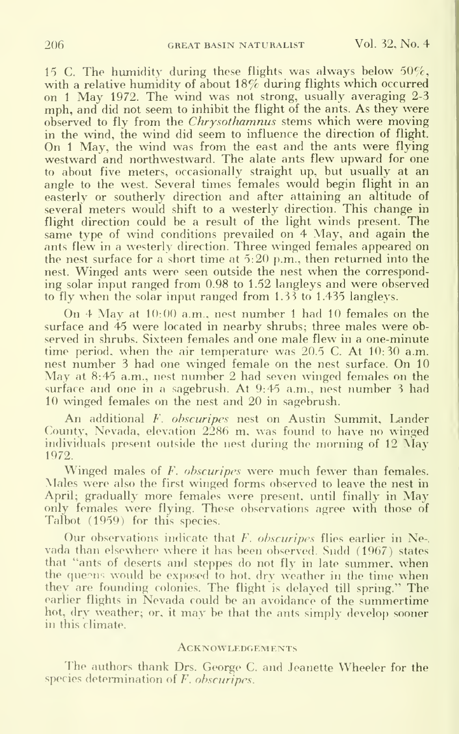15 C. The humidity during these flights was always below  $50\%$ , with <sup>a</sup> relative humidity of about 18% during flights which occurred on <sup>1</sup> May 1972. The wind was not strong, usually averaging 2-3 mph, and did not seem to inhibit the flight of the ants. As they were observed to fly from the *Chrysothamnus* stems which were moving in the wind, the wind did seem to influence the direction of flight. On <sup>1</sup> May, the wind was from the east and the ants were flying westward and northwestward. The alate ants flew upward for one to about five meters, occasionally straight up, but usually at an angle to the west. Several times females would begin flight in an easterly or southerly direction and after attaining an altitude of several meters would shift to a westerly direction. This change in flight direction could be <sup>a</sup> result of the light winds present. The same type of wind conditions prevailed on 4 May, and again the ants flew in a westerly direction. Three winged females appeared on the nest surface for a short time at 5:20 p.m., then returned into the nest. Winged ants were seen outside the nest when the corresponding solar input ranged from 0.98 to 1.52 langleys and were observed to fly when the solar input ranged from 1.33 to 1.435 langleys.

On <sup>4</sup> May at 10:00 a.m., nest number <sup>1</sup> had <sup>10</sup> females on the surface and 45 were located in nearby shrubs; three males were ob served in shrubs. Sixteen females and one male flew in a one-minute time period, when the air temperature was 20.5 C. At 10:30 a.m.<br>nest number 3 had one winged female on the nest surface. On 10 May at 8:45 a.m., nest number 2 had seven winged females on the surface and one in <sup>a</sup> sagebrush. At 9:45 a.m., nest number <sup>3</sup> had 10 winged females on the nest and 20 in sagebrush.

An additional F. ohscuripes nest on Austin Summit, Lander County, Nevada, elevation 2286 m, was found to have no winged individuals present outside the nest during the morning of <sup>12</sup> May 1972.

Winged males of F. obscuripes were much fewer than females. Males were also the first winged forms observed to leave the nest in April; gradually more females were present, until finally in May only females were flying. These observations agree with those of Talbot (1959) for this species.

Our observations indicate that  $F$ , obscuripes flies earlier in Nevada than elsewhere where it has been observed. Sudd (1967) states that "ants of deserts and steppes do not fly in late summer, when the queens would be exposed to hot, dry weather in the time when they are founding colonies. The flight is delayed till spring." The earlier flights in Nevada could be an avoidance of the summertime hot, dry weather; or, it may be that the ants simply develop sooner in this climate.

#### **ACKNOWLEDGEMENTS**

The authors thank Drs. George C. and Jeanette Wheeler for the species determination of F. ohscuripes.